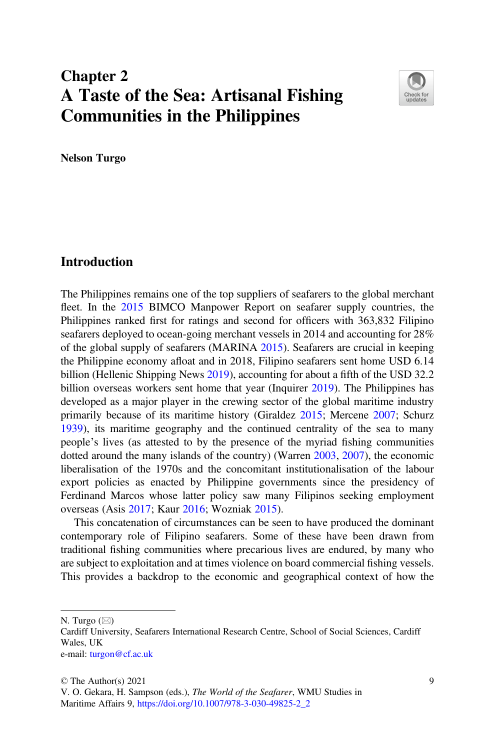# Chapter 2 A Taste of the Sea: Artisanal Fishing Communities in the Philippines



Nelson Turgo

## Introduction

The Philippines remains one of the top suppliers of seafarers to the global merchant fleet. In the [2015](#page-10-0) BIMCO Manpower Report on seafarer supply countries, the Philippines ranked first for ratings and second for officers with 363,832 Filipino seafarers deployed to ocean-going merchant vessels in 2014 and accounting for 28% of the global supply of seafarers (MARINA [2015](#page-12-0)). Seafarers are crucial in keeping the Philippine economy afloat and in 2018, Filipino seafarers sent home USD 6.14 billion (Hellenic Shipping News [2019\)](#page-11-0), accounting for about a fifth of the USD 32.2 billion overseas workers sent home that year (Inquirer [2019\)](#page-12-1). The Philippines has developed as a major player in the crewing sector of the global maritime industry primarily because of its maritime history (Giraldez [2015](#page-11-1); Mercene [2007](#page-12-2); Schurz [1939\)](#page-13-0), its maritime geography and the continued centrality of the sea to many people's lives (as attested to by the presence of the myriad fishing communities dotted around the many islands of the country) (Warren [2003,](#page-13-1) [2007\)](#page-13-2), the economic liberalisation of the 1970s and the concomitant institutionalisation of the labour export policies as enacted by Philippine governments since the presidency of Ferdinand Marcos whose latter policy saw many Filipinos seeking employment overseas (Asis [2017](#page-10-1); Kaur [2016](#page-12-3); Wozniak [2015](#page-13-3)).

This concatenation of circumstances can be seen to have produced the dominant contemporary role of Filipino seafarers. Some of these have been drawn from traditional fishing communities where precarious lives are endured, by many who are subject to exploitation and at times violence on board commercial fishing vessels. This provides a backdrop to the economic and geographical context of how the

N. Turgo  $(\boxtimes)$ 

Cardiff University, Seafarers International Research Centre, School of Social Sciences, Cardiff Wales, UK e-mail: [turgon@cf.ac.uk](mailto:turgon@cf.ac.uk)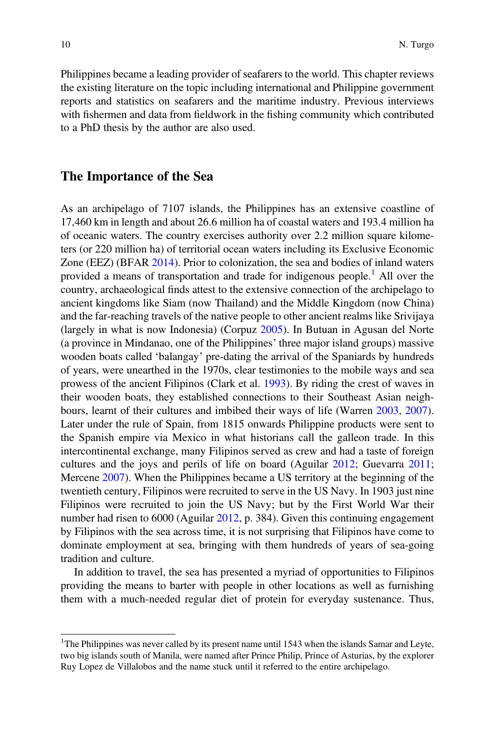Philippines became a leading provider of seafarers to the world. This chapter reviews the existing literature on the topic including international and Philippine government reports and statistics on seafarers and the maritime industry. Previous interviews with fishermen and data from fieldwork in the fishing community which contributed to a PhD thesis by the author are also used.

#### The Importance of the Sea

As an archipelago of 7107 islands, the Philippines has an extensive coastline of 17,460 km in length and about 26.6 million ha of coastal waters and 193.4 million ha of oceanic waters. The country exercises authority over 2.2 million square kilometers (or 220 million ha) of territorial ocean waters including its Exclusive Economic Zone (EEZ) (BFAR [2014\)](#page-10-2). Prior to colonization, the sea and bodies of inland waters provided a means of transportation and trade for indigenous people.[1](#page-1-0) All over the country, archaeological finds attest to the extensive connection of the archipelago to ancient kingdoms like Siam (now Thailand) and the Middle Kingdom (now China) and the far-reaching travels of the native people to other ancient realms like Srivijaya (largely in what is now Indonesia) (Corpuz [2005](#page-11-2)). In Butuan in Agusan del Norte (a province in Mindanao, one of the Philippines' three major island groups) massive wooden boats called 'balangay' pre-dating the arrival of the Spaniards by hundreds of years, were unearthed in the 1970s, clear testimonies to the mobile ways and sea prowess of the ancient Filipinos (Clark et al. [1993](#page-11-3)). By riding the crest of waves in their wooden boats, they established connections to their Southeast Asian neighbours, learnt of their cultures and imbibed their ways of life (Warren [2003](#page-13-1), [2007\)](#page-13-2). Later under the rule of Spain, from 1815 onwards Philippine products were sent to the Spanish empire via Mexico in what historians call the galleon trade. In this intercontinental exchange, many Filipinos served as crew and had a taste of foreign cultures and the joys and perils of life on board (Aguilar [2012](#page-10-3); Guevarra [2011;](#page-11-4) Mercene [2007\)](#page-12-2). When the Philippines became a US territory at the beginning of the twentieth century, Filipinos were recruited to serve in the US Navy. In 1903 just nine Filipinos were recruited to join the US Navy; but by the First World War their number had risen to 6000 (Aguilar [2012](#page-10-3), p. 384). Given this continuing engagement by Filipinos with the sea across time, it is not surprising that Filipinos have come to dominate employment at sea, bringing with them hundreds of years of sea-going tradition and culture.

In addition to travel, the sea has presented a myriad of opportunities to Filipinos providing the means to barter with people in other locations as well as furnishing them with a much-needed regular diet of protein for everyday sustenance. Thus,

<span id="page-1-0"></span><sup>&</sup>lt;sup>1</sup>The Philippines was never called by its present name until 1543 when the islands Samar and Leyte, two big islands south of Manila, were named after Prince Philip, Prince of Asturias, by the explorer Ruy Lopez de Villalobos and the name stuck until it referred to the entire archipelago.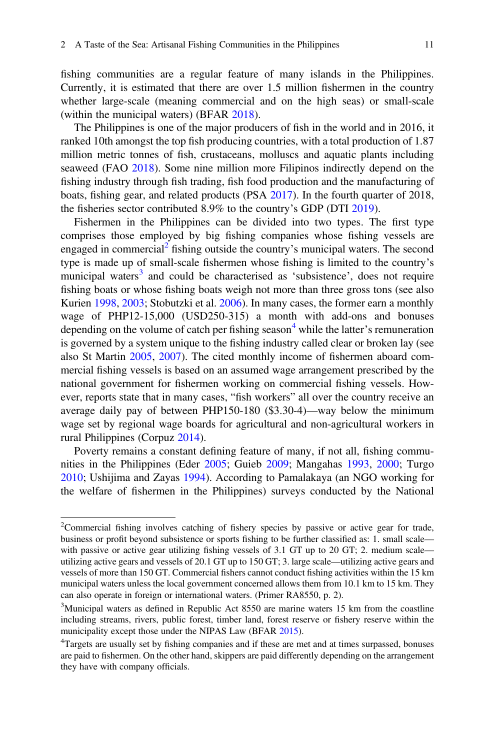fishing communities are a regular feature of many islands in the Philippines. Currently, it is estimated that there are over 1.5 million fishermen in the country whether large-scale (meaning commercial and on the high seas) or small-scale (within the municipal waters) (BFAR [2018\)](#page-10-4).

The Philippines is one of the major producers of fish in the world and in 2016, it ranked 10th amongst the top fish producing countries, with a total production of 1.87 million metric tonnes of fish, crustaceans, molluscs and aquatic plants including seaweed (FAO [2018](#page-11-5)). Some nine million more Filipinos indirectly depend on the fishing industry through fish trading, fish food production and the manufacturing of boats, fishing gear, and related products (PSA [2017\)](#page-12-4). In the fourth quarter of 2018, the fisheries sector contributed 8.9% to the country's GDP (DTI [2019](#page-11-6)).

Fishermen in the Philippines can be divided into two types. The first type comprises those employed by big fishing companies whose fishing vessels are engaged in commercial<sup>[2](#page-2-0)</sup> fishing outside the country's municipal waters. The second type is made up of small-scale fishermen whose fishing is limited to the country's municipal waters<sup>[3](#page-2-1)</sup> and could be characterised as 'subsistence', does not require fishing boats or whose fishing boats weigh not more than three gross tons (see also Kurien [1998,](#page-12-5) [2003](#page-12-6); Stobutzki et al. [2006\)](#page-13-4). In many cases, the former earn a monthly wage of PHP12-15,000 (USD250-315) a month with add-ons and bonuses depending on the volume of catch per fishing season<sup>[4](#page-2-2)</sup> while the latter's remuneration is governed by a system unique to the fishing industry called clear or broken lay (see also St Martin [2005](#page-13-5), [2007](#page-13-6)). The cited monthly income of fishermen aboard commercial fishing vessels is based on an assumed wage arrangement prescribed by the national government for fishermen working on commercial fishing vessels. However, reports state that in many cases, "fish workers" all over the country receive an average daily pay of between PHP150-180 (\$3.30-4)—way below the minimum wage set by regional wage boards for agricultural and non-agricultural workers in rural Philippines (Corpuz [2014\)](#page-11-7).

Poverty remains a constant defining feature of many, if not all, fishing communities in the Philippines (Eder [2005](#page-11-8); Guieb [2009](#page-11-9); Mangahas [1993](#page-12-7), [2000;](#page-12-8) Turgo [2010;](#page-13-7) Ushijima and Zayas [1994\)](#page-13-8). According to Pamalakaya (an NGO working for the welfare of fishermen in the Philippines) surveys conducted by the National

<span id="page-2-0"></span><sup>&</sup>lt;sup>2</sup>Commercial fishing involves catching of fishery species by passive or active gear for trade, business or profit beyond subsistence or sports fishing to be further classified as: 1. small scale with passive or active gear utilizing fishing vessels of 3.1 GT up to 20 GT; 2. medium scale utilizing active gears and vessels of 20.1 GT up to 150 GT; 3. large scale—utilizing active gears and vessels of more than 150 GT. Commercial fishers cannot conduct fishing activities within the 15 km municipal waters unless the local government concerned allows them from 10.1 km to 15 km. They can also operate in foreign or international waters. (Primer RA8550, p. 2).

<span id="page-2-1"></span><sup>&</sup>lt;sup>3</sup>Municipal waters as defined in Republic Act 8550 are marine waters 15 km from the coastline including streams, rivers, public forest, timber land, forest reserve or fishery reserve within the municipality except those under the NIPAS Law (BFAR [2015](#page-10-5)).

<span id="page-2-2"></span><sup>&</sup>lt;sup>4</sup>Targets are usually set by fishing companies and if these are met and at times surpassed, bonuses are paid to fishermen. On the other hand, skippers are paid differently depending on the arrangement they have with company officials.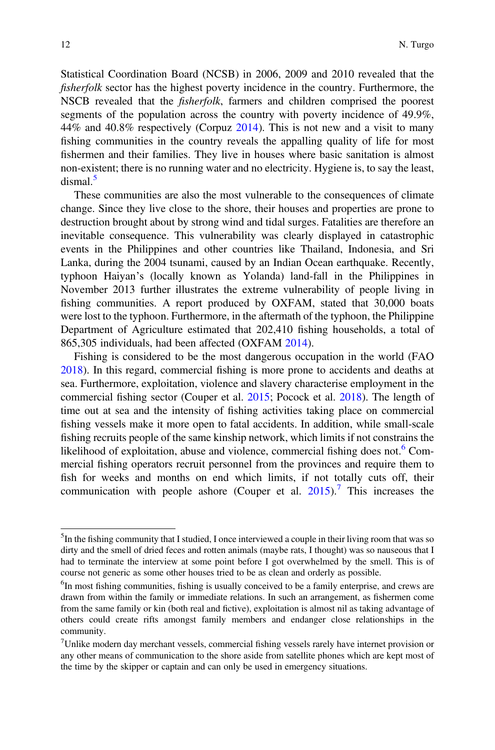Statistical Coordination Board (NCSB) in 2006, 2009 and 2010 revealed that the fisherfolk sector has the highest poverty incidence in the country. Furthermore, the NSCB revealed that the fisherfolk, farmers and children comprised the poorest segments of the population across the country with poverty incidence of 49.9%, 44% and 40.8% respectively (Corpuz [2014\)](#page-11-7). This is not new and a visit to many fishing communities in the country reveals the appalling quality of life for most fishermen and their families. They live in houses where basic sanitation is almost non-existent; there is no running water and no electricity. Hygiene is, to say the least,  $dismal.<sup>5</sup>$  $dismal.<sup>5</sup>$  $dismal.<sup>5</sup>$ 

These communities are also the most vulnerable to the consequences of climate change. Since they live close to the shore, their houses and properties are prone to destruction brought about by strong wind and tidal surges. Fatalities are therefore an inevitable consequence. This vulnerability was clearly displayed in catastrophic events in the Philippines and other countries like Thailand, Indonesia, and Sri Lanka, during the 2004 tsunami, caused by an Indian Ocean earthquake. Recently, typhoon Haiyan's (locally known as Yolanda) land-fall in the Philippines in November 2013 further illustrates the extreme vulnerability of people living in fishing communities. A report produced by OXFAM, stated that 30,000 boats were lost to the typhoon. Furthermore, in the aftermath of the typhoon, the Philippine Department of Agriculture estimated that 202,410 fishing households, a total of 865,305 individuals, had been affected (OXFAM [2014](#page-12-9)).

Fishing is considered to be the most dangerous occupation in the world (FAO [2018\)](#page-11-5). In this regard, commercial fishing is more prone to accidents and deaths at sea. Furthermore, exploitation, violence and slavery characterise employment in the commercial fishing sector (Couper et al. [2015;](#page-11-10) Pocock et al. [2018\)](#page-12-10). The length of time out at sea and the intensity of fishing activities taking place on commercial fishing vessels make it more open to fatal accidents. In addition, while small-scale fishing recruits people of the same kinship network, which limits if not constrains the likelihood of exploitation, abuse and violence, commercial fishing does not. $^6$  $^6$  Commercial fishing operators recruit personnel from the provinces and require them to fish for weeks and months on end which limits, if not totally cuts off, their communication with people ashore (Couper et al.  $2015$ ).<sup>[7](#page-3-2)</sup> This increases the

<span id="page-3-0"></span><sup>&</sup>lt;sup>5</sup>In the fishing community that I studied, I once interviewed a couple in their living room that was so dirty and the smell of dried feces and rotten animals (maybe rats, I thought) was so nauseous that I had to terminate the interview at some point before I got overwhelmed by the smell. This is of course not generic as some other houses tried to be as clean and orderly as possible.

<span id="page-3-1"></span><sup>&</sup>lt;sup>6</sup>In most fishing communities, fishing is usually conceived to be a family enterprise, and crews are drawn from within the family or immediate relations. In such an arrangement, as fishermen come from the same family or kin (both real and fictive), exploitation is almost nil as taking advantage of others could create rifts amongst family members and endanger close relationships in the community.

<span id="page-3-2"></span> $7$ Unlike modern day merchant vessels, commercial fishing vessels rarely have internet provision or any other means of communication to the shore aside from satellite phones which are kept most of the time by the skipper or captain and can only be used in emergency situations.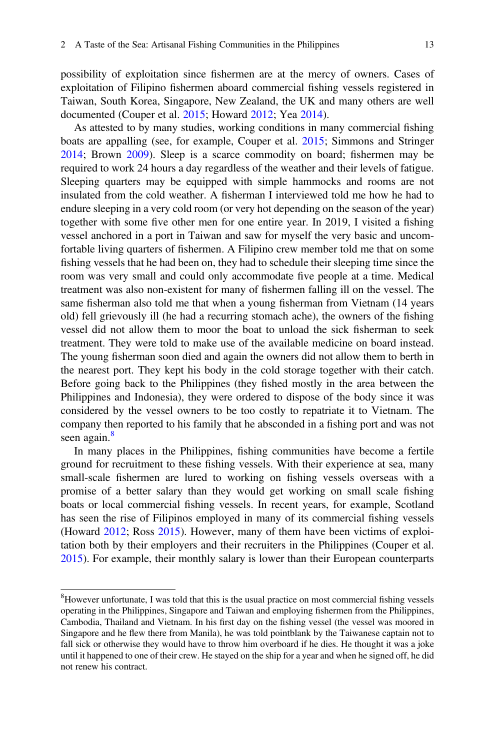possibility of exploitation since fishermen are at the mercy of owners. Cases of exploitation of Filipino fishermen aboard commercial fishing vessels registered in Taiwan, South Korea, Singapore, New Zealand, the UK and many others are well documented (Couper et al. [2015](#page-11-10); Howard [2012;](#page-11-11) Yea [2014\)](#page-13-9).

As attested to by many studies, working conditions in many commercial fishing boats are appalling (see, for example, Couper et al. [2015](#page-11-10); Simmons and Stringer [2014;](#page-13-10) Brown [2009](#page-11-12)). Sleep is a scarce commodity on board; fishermen may be required to work 24 hours a day regardless of the weather and their levels of fatigue. Sleeping quarters may be equipped with simple hammocks and rooms are not insulated from the cold weather. A fisherman I interviewed told me how he had to endure sleeping in a very cold room (or very hot depending on the season of the year) together with some five other men for one entire year. In 2019, I visited a fishing vessel anchored in a port in Taiwan and saw for myself the very basic and uncomfortable living quarters of fishermen. A Filipino crew member told me that on some fishing vessels that he had been on, they had to schedule their sleeping time since the room was very small and could only accommodate five people at a time. Medical treatment was also non-existent for many of fishermen falling ill on the vessel. The same fisherman also told me that when a young fisherman from Vietnam (14 years old) fell grievously ill (he had a recurring stomach ache), the owners of the fishing vessel did not allow them to moor the boat to unload the sick fisherman to seek treatment. They were told to make use of the available medicine on board instead. The young fisherman soon died and again the owners did not allow them to berth in the nearest port. They kept his body in the cold storage together with their catch. Before going back to the Philippines (they fished mostly in the area between the Philippines and Indonesia), they were ordered to dispose of the body since it was considered by the vessel owners to be too costly to repatriate it to Vietnam. The company then reported to his family that he absconded in a fishing port and was not seen again.<sup>[8](#page-4-0)</sup>

In many places in the Philippines, fishing communities have become a fertile ground for recruitment to these fishing vessels. With their experience at sea, many small-scale fishermen are lured to working on fishing vessels overseas with a promise of a better salary than they would get working on small scale fishing boats or local commercial fishing vessels. In recent years, for example, Scotland has seen the rise of Filipinos employed in many of its commercial fishing vessels (Howard [2012](#page-11-11); Ross [2015](#page-12-11)). However, many of them have been victims of exploitation both by their employers and their recruiters in the Philippines (Couper et al. [2015\)](#page-11-10). For example, their monthly salary is lower than their European counterparts

<span id="page-4-0"></span><sup>&</sup>lt;sup>8</sup>However unfortunate, I was told that this is the usual practice on most commercial fishing vessels operating in the Philippines, Singapore and Taiwan and employing fishermen from the Philippines, Cambodia, Thailand and Vietnam. In his first day on the fishing vessel (the vessel was moored in Singapore and he flew there from Manila), he was told pointblank by the Taiwanese captain not to fall sick or otherwise they would have to throw him overboard if he dies. He thought it was a joke until it happened to one of their crew. He stayed on the ship for a year and when he signed off, he did not renew his contract.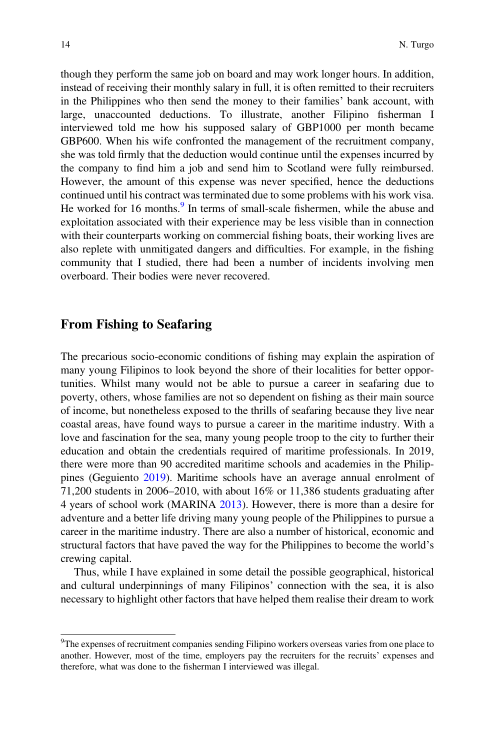though they perform the same job on board and may work longer hours. In addition, instead of receiving their monthly salary in full, it is often remitted to their recruiters in the Philippines who then send the money to their families' bank account, with large, unaccounted deductions. To illustrate, another Filipino fisherman I interviewed told me how his supposed salary of GBP1000 per month became GBP600. When his wife confronted the management of the recruitment company, she was told firmly that the deduction would continue until the expenses incurred by the company to find him a job and send him to Scotland were fully reimbursed. However, the amount of this expense was never specified, hence the deductions continued until his contract was terminated due to some problems with his work visa. He worked for 16 months.<sup>[9](#page-5-0)</sup> In terms of small-scale fishermen, while the abuse and exploitation associated with their experience may be less visible than in connection with their counterparts working on commercial fishing boats, their working lives are also replete with unmitigated dangers and difficulties. For example, in the fishing community that I studied, there had been a number of incidents involving men overboard. Their bodies were never recovered.

#### From Fishing to Seafaring

The precarious socio-economic conditions of fishing may explain the aspiration of many young Filipinos to look beyond the shore of their localities for better opportunities. Whilst many would not be able to pursue a career in seafaring due to poverty, others, whose families are not so dependent on fishing as their main source of income, but nonetheless exposed to the thrills of seafaring because they live near coastal areas, have found ways to pursue a career in the maritime industry. With a love and fascination for the sea, many young people troop to the city to further their education and obtain the credentials required of maritime professionals. In 2019, there were more than 90 accredited maritime schools and academies in the Philippines (Geguiento [2019](#page-11-13)). Maritime schools have an average annual enrolment of 71,200 students in 2006–2010, with about 16% or 11,386 students graduating after 4 years of school work (MARINA [2013](#page-12-12)). However, there is more than a desire for adventure and a better life driving many young people of the Philippines to pursue a career in the maritime industry. There are also a number of historical, economic and structural factors that have paved the way for the Philippines to become the world's crewing capital.

Thus, while I have explained in some detail the possible geographical, historical and cultural underpinnings of many Filipinos' connection with the sea, it is also necessary to highlight other factors that have helped them realise their dream to work

<span id="page-5-0"></span><sup>&</sup>lt;sup>9</sup>The expenses of recruitment companies sending Filipino workers overseas varies from one place to another. However, most of the time, employers pay the recruiters for the recruits' expenses and therefore, what was done to the fisherman I interviewed was illegal.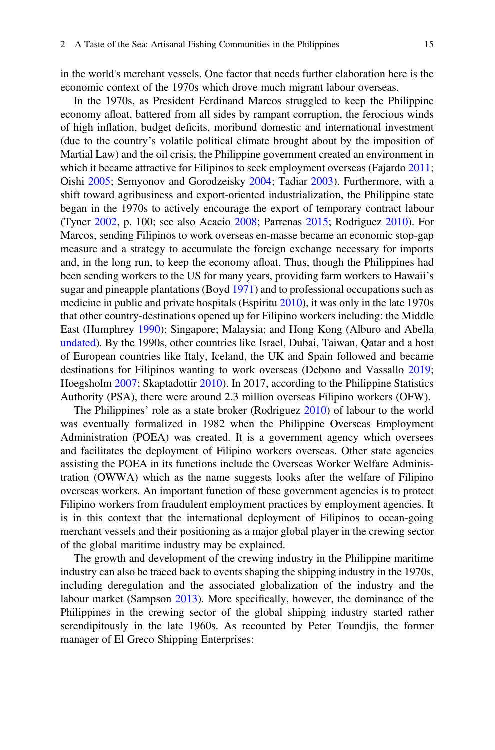in the world's merchant vessels. One factor that needs further elaboration here is the economic context of the 1970s which drove much migrant labour overseas.

In the 1970s, as President Ferdinand Marcos struggled to keep the Philippine economy afloat, battered from all sides by rampant corruption, the ferocious winds of high inflation, budget deficits, moribund domestic and international investment (due to the country's volatile political climate brought about by the imposition of Martial Law) and the oil crisis, the Philippine government created an environment in which it became attractive for Filipinos to seek employment overseas (Fajardo [2011;](#page-11-14) Oishi [2005](#page-12-13); Semyonov and Gorodzeisky [2004;](#page-13-11) Tadiar [2003](#page-13-12)). Furthermore, with a shift toward agribusiness and export-oriented industrialization, the Philippine state began in the 1970s to actively encourage the export of temporary contract labour (Tyner [2002](#page-13-13), p. 100; see also Acacio [2008;](#page-10-6) Parrenas [2015;](#page-12-14) Rodriguez [2010\)](#page-12-15). For Marcos, sending Filipinos to work overseas en-masse became an economic stop-gap measure and a strategy to accumulate the foreign exchange necessary for imports and, in the long run, to keep the economy afloat. Thus, though the Philippines had been sending workers to the US for many years, providing farm workers to Hawaii's sugar and pineapple plantations (Boyd [1971](#page-11-15)) and to professional occupations such as medicine in public and private hospitals (Espiritu [2010\)](#page-11-16), it was only in the late 1970s that other country-destinations opened up for Filipino workers including: the Middle East (Humphrey [1990\)](#page-11-17); Singapore; Malaysia; and Hong Kong (Alburo and Abella [undated](#page-10-7)). By the 1990s, other countries like Israel, Dubai, Taiwan, Qatar and a host of European countries like Italy, Iceland, the UK and Spain followed and became destinations for Filipinos wanting to work overseas (Debono and Vassallo [2019;](#page-11-18) Hoegsholm [2007;](#page-11-19) Skaptadottir [2010\)](#page-13-14). In 2017, according to the Philippine Statistics Authority (PSA), there were around 2.3 million overseas Filipino workers (OFW).

The Philippines' role as a state broker (Rodriguez [2010](#page-12-15)) of labour to the world was eventually formalized in 1982 when the Philippine Overseas Employment Administration (POEA) was created. It is a government agency which oversees and facilitates the deployment of Filipino workers overseas. Other state agencies assisting the POEA in its functions include the Overseas Worker Welfare Administration (OWWA) which as the name suggests looks after the welfare of Filipino overseas workers. An important function of these government agencies is to protect Filipino workers from fraudulent employment practices by employment agencies. It is in this context that the international deployment of Filipinos to ocean-going merchant vessels and their positioning as a major global player in the crewing sector of the global maritime industry may be explained.

The growth and development of the crewing industry in the Philippine maritime industry can also be traced back to events shaping the shipping industry in the 1970s, including deregulation and the associated globalization of the industry and the labour market (Sampson [2013\)](#page-12-16). More specifically, however, the dominance of the Philippines in the crewing sector of the global shipping industry started rather serendipitously in the late 1960s. As recounted by Peter Toundjis, the former manager of El Greco Shipping Enterprises: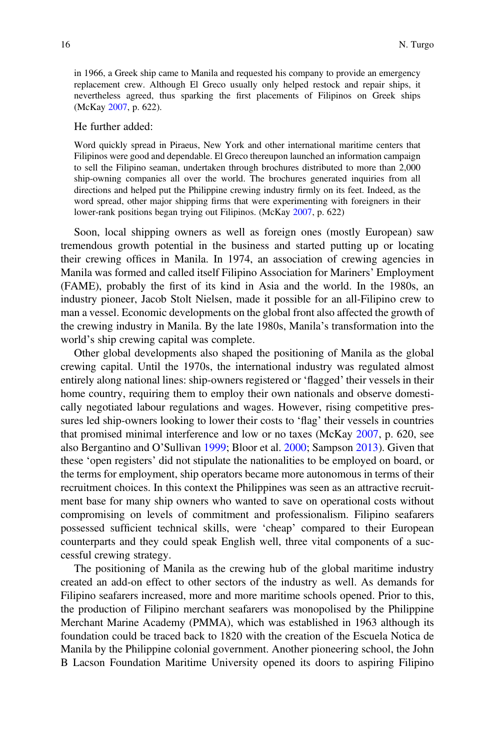in 1966, a Greek ship came to Manila and requested his company to provide an emergency replacement crew. Although El Greco usually only helped restock and repair ships, it nevertheless agreed, thus sparking the first placements of Filipinos on Greek ships (McKay [2007](#page-12-17), p. 622).

#### He further added:

Word quickly spread in Piraeus, New York and other international maritime centers that Filipinos were good and dependable. El Greco thereupon launched an information campaign to sell the Filipino seaman, undertaken through brochures distributed to more than 2,000 ship-owning companies all over the world. The brochures generated inquiries from all directions and helped put the Philippine crewing industry firmly on its feet. Indeed, as the word spread, other major shipping firms that were experimenting with foreigners in their lower-rank positions began trying out Filipinos. (McKay [2007](#page-12-17), p. 622)

Soon, local shipping owners as well as foreign ones (mostly European) saw tremendous growth potential in the business and started putting up or locating their crewing offices in Manila. In 1974, an association of crewing agencies in Manila was formed and called itself Filipino Association for Mariners' Employment (FAME), probably the first of its kind in Asia and the world. In the 1980s, an industry pioneer, Jacob Stolt Nielsen, made it possible for an all-Filipino crew to man a vessel. Economic developments on the global front also affected the growth of the crewing industry in Manila. By the late 1980s, Manila's transformation into the world's ship crewing capital was complete.

Other global developments also shaped the positioning of Manila as the global crewing capital. Until the 1970s, the international industry was regulated almost entirely along national lines: ship-owners registered or 'flagged' their vessels in their home country, requiring them to employ their own nationals and observe domestically negotiated labour regulations and wages. However, rising competitive pressures led ship-owners looking to lower their costs to 'flag' their vessels in countries that promised minimal interference and low or no taxes (McKay [2007](#page-12-17), p. 620, see also Bergantino and O'Sullivan [1999;](#page-10-8) Bloor et al. [2000](#page-11-20); Sampson [2013](#page-12-16)). Given that these 'open registers' did not stipulate the nationalities to be employed on board, or the terms for employment, ship operators became more autonomous in terms of their recruitment choices. In this context the Philippines was seen as an attractive recruitment base for many ship owners who wanted to save on operational costs without compromising on levels of commitment and professionalism. Filipino seafarers possessed sufficient technical skills, were 'cheap' compared to their European counterparts and they could speak English well, three vital components of a successful crewing strategy.

The positioning of Manila as the crewing hub of the global maritime industry created an add-on effect to other sectors of the industry as well. As demands for Filipino seafarers increased, more and more maritime schools opened. Prior to this, the production of Filipino merchant seafarers was monopolised by the Philippine Merchant Marine Academy (PMMA), which was established in 1963 although its foundation could be traced back to 1820 with the creation of the Escuela Notica de Manila by the Philippine colonial government. Another pioneering school, the John B Lacson Foundation Maritime University opened its doors to aspiring Filipino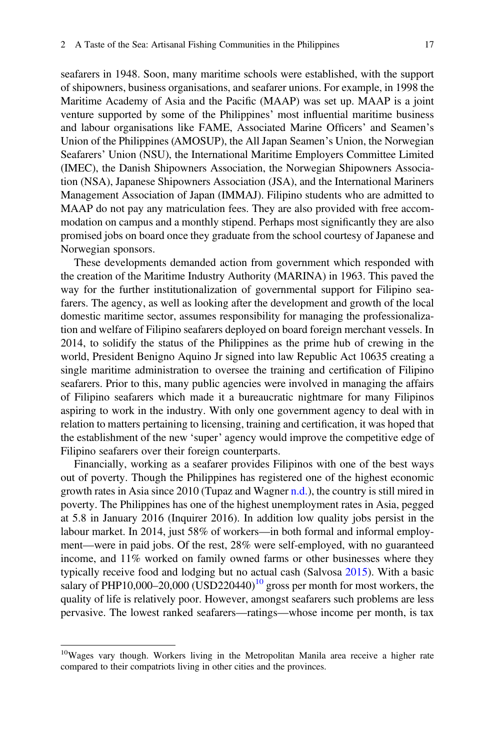seafarers in 1948. Soon, many maritime schools were established, with the support of shipowners, business organisations, and seafarer unions. For example, in 1998 the Maritime Academy of Asia and the Pacific (MAAP) was set up. MAAP is a joint venture supported by some of the Philippines' most influential maritime business and labour organisations like FAME, Associated Marine Officers' and Seamen's Union of the Philippines (AMOSUP), the All Japan Seamen's Union, the Norwegian Seafarers' Union (NSU), the International Maritime Employers Committee Limited (IMEC), the Danish Shipowners Association, the Norwegian Shipowners Association (NSA), Japanese Shipowners Association (JSA), and the International Mariners Management Association of Japan (IMMAJ). Filipino students who are admitted to MAAP do not pay any matriculation fees. They are also provided with free accommodation on campus and a monthly stipend. Perhaps most significantly they are also promised jobs on board once they graduate from the school courtesy of Japanese and Norwegian sponsors.

These developments demanded action from government which responded with the creation of the Maritime Industry Authority (MARINA) in 1963. This paved the way for the further institutionalization of governmental support for Filipino seafarers. The agency, as well as looking after the development and growth of the local domestic maritime sector, assumes responsibility for managing the professionalization and welfare of Filipino seafarers deployed on board foreign merchant vessels. In 2014, to solidify the status of the Philippines as the prime hub of crewing in the world, President Benigno Aquino Jr signed into law Republic Act 10635 creating a single maritime administration to oversee the training and certification of Filipino seafarers. Prior to this, many public agencies were involved in managing the affairs of Filipino seafarers which made it a bureaucratic nightmare for many Filipinos aspiring to work in the industry. With only one government agency to deal with in relation to matters pertaining to licensing, training and certification, it was hoped that the establishment of the new 'super' agency would improve the competitive edge of Filipino seafarers over their foreign counterparts.

Financially, working as a seafarer provides Filipinos with one of the best ways out of poverty. Though the Philippines has registered one of the highest economic growth rates in Asia since 2010 (Tupaz and Wagner [n.d.](#page-13-15)), the country is still mired in poverty. The Philippines has one of the highest unemployment rates in Asia, pegged at 5.8 in January 2016 (Inquirer 2016). In addition low quality jobs persist in the labour market. In 2014, just 58% of workers—in both formal and informal employment—were in paid jobs. Of the rest, 28% were self-employed, with no guaranteed income, and 11% worked on family owned farms or other businesses where they typically receive food and lodging but no actual cash (Salvosa [2015\)](#page-12-18). With a basic salary of PHP[10](#page-8-0),000–20,000 (USD220440)<sup>10</sup> gross per month for most workers, the quality of life is relatively poor. However, amongst seafarers such problems are less pervasive. The lowest ranked seafarers—ratings—whose income per month, is tax

<span id="page-8-0"></span><sup>&</sup>lt;sup>10</sup>Wages vary though. Workers living in the Metropolitan Manila area receive a higher rate compared to their compatriots living in other cities and the provinces.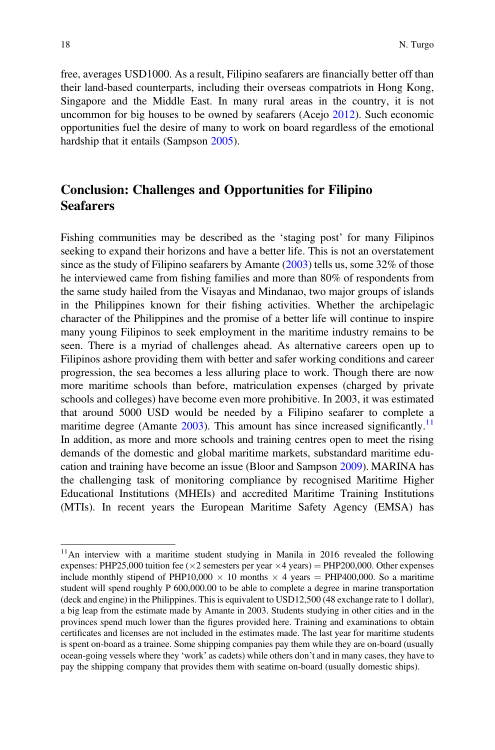free, averages USD1000. As a result, Filipino seafarers are financially better off than their land-based counterparts, including their overseas compatriots in Hong Kong, Singapore and the Middle East. In many rural areas in the country, it is not uncommon for big houses to be owned by seafarers (Acejo [2012](#page-10-9)). Such economic opportunities fuel the desire of many to work on board regardless of the emotional hardship that it entails (Sampson [2005](#page-12-19)).

# Conclusion: Challenges and Opportunities for Filipino Seafarers

Fishing communities may be described as the 'staging post' for many Filipinos seeking to expand their horizons and have a better life. This is not an overstatement since as the study of Filipino seafarers by Amante ([2003\)](#page-10-10) tells us, some 32% of those he interviewed came from fishing families and more than 80% of respondents from the same study hailed from the Visayas and Mindanao, two major groups of islands in the Philippines known for their fishing activities. Whether the archipelagic character of the Philippines and the promise of a better life will continue to inspire many young Filipinos to seek employment in the maritime industry remains to be seen. There is a myriad of challenges ahead. As alternative careers open up to Filipinos ashore providing them with better and safer working conditions and career progression, the sea becomes a less alluring place to work. Though there are now more maritime schools than before, matriculation expenses (charged by private schools and colleges) have become even more prohibitive. In 2003, it was estimated that around 5000 USD would be needed by a Filipino seafarer to complete a maritime degree (Amante  $2003$ ). This amount has since increased significantly.<sup>[11](#page-9-0)</sup> In addition, as more and more schools and training centres open to meet the rising demands of the domestic and global maritime markets, substandard maritime education and training have become an issue (Bloor and Sampson [2009\)](#page-11-21). MARINA has the challenging task of monitoring compliance by recognised Maritime Higher Educational Institutions (MHEIs) and accredited Maritime Training Institutions (MTIs). In recent years the European Maritime Safety Agency (EMSA) has

<span id="page-9-0"></span><sup>&</sup>lt;sup>11</sup>An interview with a maritime student studying in Manila in 2016 revealed the following expenses: PHP25,000 tuition fee ( $\times$ 2 semesters per year  $\times$ 4 years) = PHP200,000. Other expenses include monthly stipend of PHP10,000  $\times$  10 months  $\times$  4 years = PHP400,000. So a maritime student will spend roughly P 600,000.00 to be able to complete a degree in marine transportation (deck and engine) in the Philippines. This is equivalent to USD12,500 (48 exchange rate to 1 dollar), a big leap from the estimate made by Amante in 2003. Students studying in other cities and in the provinces spend much lower than the figures provided here. Training and examinations to obtain certificates and licenses are not included in the estimates made. The last year for maritime students is spent on-board as a trainee. Some shipping companies pay them while they are on-board (usually ocean-going vessels where they 'work' as cadets) while others don't and in many cases, they have to pay the shipping company that provides them with seatime on-board (usually domestic ships).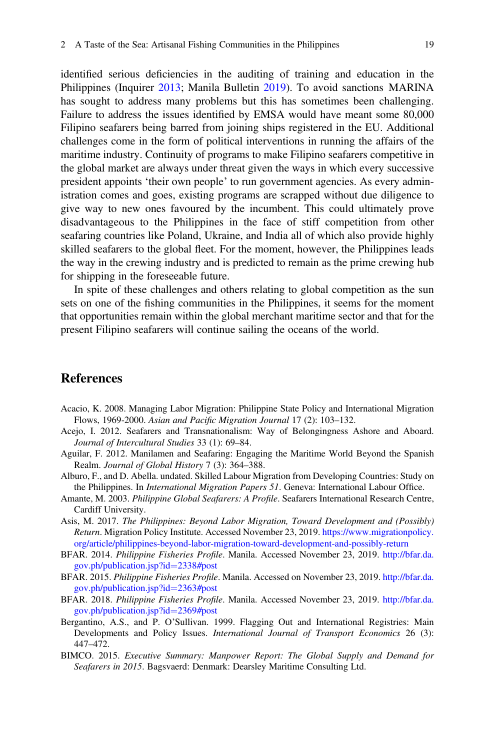identified serious deficiencies in the auditing of training and education in the Philippines (Inquirer [2013;](#page-12-20) Manila Bulletin [2019](#page-12-21)). To avoid sanctions MARINA has sought to address many problems but this has sometimes been challenging. Failure to address the issues identified by EMSA would have meant some 80,000 Filipino seafarers being barred from joining ships registered in the EU. Additional challenges come in the form of political interventions in running the affairs of the maritime industry. Continuity of programs to make Filipino seafarers competitive in the global market are always under threat given the ways in which every successive president appoints 'their own people' to run government agencies. As every administration comes and goes, existing programs are scrapped without due diligence to give way to new ones favoured by the incumbent. This could ultimately prove disadvantageous to the Philippines in the face of stiff competition from other seafaring countries like Poland, Ukraine, and India all of which also provide highly skilled seafarers to the global fleet. For the moment, however, the Philippines leads the way in the crewing industry and is predicted to remain as the prime crewing hub for shipping in the foreseeable future.

In spite of these challenges and others relating to global competition as the sun sets on one of the fishing communities in the Philippines, it seems for the moment that opportunities remain within the global merchant maritime sector and that for the present Filipino seafarers will continue sailing the oceans of the world.

### References

- <span id="page-10-6"></span>Acacio, K. 2008. Managing Labor Migration: Philippine State Policy and International Migration Flows, 1969-2000. Asian and Pacific Migration Journal 17 (2): 103–132.
- <span id="page-10-9"></span>Acejo, I. 2012. Seafarers and Transnationalism: Way of Belongingness Ashore and Aboard. Journal of Intercultural Studies 33 (1): 69–84.
- <span id="page-10-3"></span>Aguilar, F. 2012. Manilamen and Seafaring: Engaging the Maritime World Beyond the Spanish Realm. Journal of Global History 7 (3): 364-388.
- <span id="page-10-7"></span>Alburo, F., and D. Abella. undated. Skilled Labour Migration from Developing Countries: Study on the Philippines. In *International Migration Papers 51*. Geneva: International Labour Office.
- <span id="page-10-10"></span>Amante, M. 2003. Philippine Global Seafarers: A Profile. Seafarers International Research Centre, Cardiff University.
- <span id="page-10-1"></span>Asis, M. 2017. The Philippines: Beyond Labor Migration, Toward Development and (Possibly) Return. Migration Policy Institute. Accessed November 23, 2019. [https://www.migrationpolicy.](https://www.migrationpolicy.org/article/philippines-beyond-labor-migration-toward-development-and-possibly-return) [org/article/philippines-beyond-labor-migration-toward-development-and-possibly-return](https://www.migrationpolicy.org/article/philippines-beyond-labor-migration-toward-development-and-possibly-return)
- <span id="page-10-2"></span>BFAR. 2014. Philippine Fisheries Profile. Manila. Accessed November 23, 2019. [http://bfar.da.](http://bfar.da.gov.ph/publication.jsp?id=2338#post) [gov.ph/publication.jsp?id](http://bfar.da.gov.ph/publication.jsp?id=2338#post)¼[2338#post](http://bfar.da.gov.ph/publication.jsp?id=2338#post)
- <span id="page-10-5"></span>BFAR. 2015. Philippine Fisheries Profile. Manila. Accessed on November 23, 2019. [http://bfar.da.](http://bfar.da.gov.ph/publication.jsp?id=2363#post) [gov.ph/publication.jsp?id](http://bfar.da.gov.ph/publication.jsp?id=2363#post)=[2363#post](http://bfar.da.gov.ph/publication.jsp?id=2363#post)
- <span id="page-10-4"></span>BFAR. 2018. Philippine Fisheries Profile. Manila. Accessed November 23, 2019. [http://bfar.da.](http://bfar.da.gov.ph/publication.jsp?id=2369#post) [gov.ph/publication.jsp?id](http://bfar.da.gov.ph/publication.jsp?id=2369#post)¼[2369#post](http://bfar.da.gov.ph/publication.jsp?id=2369#post)
- <span id="page-10-8"></span>Bergantino, A.S., and P. O'Sullivan. 1999. Flagging Out and International Registries: Main Developments and Policy Issues. International Journal of Transport Economics 26 (3): 447–472.
- <span id="page-10-0"></span>BIMCO. 2015. Executive Summary: Manpower Report: The Global Supply and Demand for Seafarers in 2015. Bagsvaerd: Denmark: Dearsley Maritime Consulting Ltd.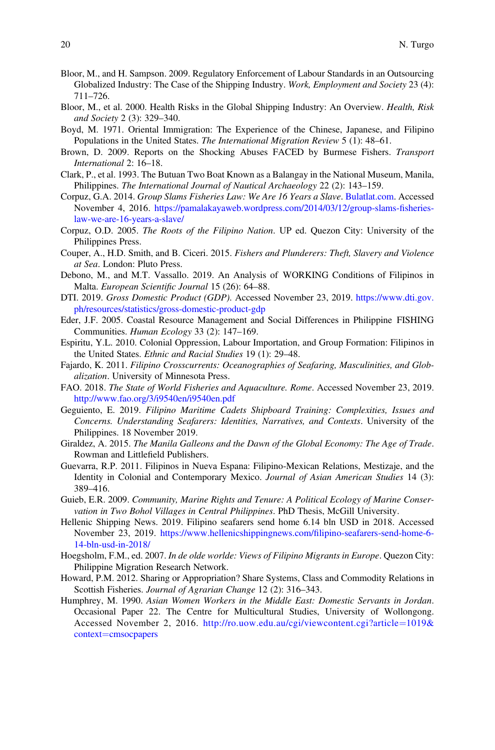- <span id="page-11-21"></span>Bloor, M., and H. Sampson. 2009. Regulatory Enforcement of Labour Standards in an Outsourcing Globalized Industry: The Case of the Shipping Industry. Work, *Employment and Society* 23 (4): 711–726.
- <span id="page-11-20"></span>Bloor, M., et al. 2000. Health Risks in the Global Shipping Industry: An Overview. Health, Risk and Society 2 (3): 329–340.
- <span id="page-11-15"></span>Boyd, M. 1971. Oriental Immigration: The Experience of the Chinese, Japanese, and Filipino Populations in the United States. The International Migration Review 5 (1): 48–61.
- <span id="page-11-12"></span>Brown, D. 2009. Reports on the Shocking Abuses FACED by Burmese Fishers. Transport International 2: 16–18.
- <span id="page-11-3"></span>Clark, P., et al. 1993. The Butuan Two Boat Known as a Balangay in the National Museum, Manila, Philippines. The International Journal of Nautical Archaeology 22 (2): 143–159.
- <span id="page-11-7"></span>Corpuz, G.A. 2014. Group Slams Fisheries Law: We Are 16 Years a Slave. [Bulatlat.com.](http://bulatlat.com) Accessed November 4, 2016. [https://pamalakayaweb.wordpress.com/2014/03/12/group-slams-](https://pamalakayaweb.wordpress.com/2014/03/12/group-slams-fisheries-law-we-are-16-years-a-slave/)fisheries[law-we-are-16-years-a-slave/](https://pamalakayaweb.wordpress.com/2014/03/12/group-slams-fisheries-law-we-are-16-years-a-slave/)
- <span id="page-11-2"></span>Corpuz, O.D. 2005. The Roots of the Filipino Nation. UP ed. Quezon City: University of the Philippines Press.
- <span id="page-11-10"></span>Couper, A., H.D. Smith, and B. Ciceri. 2015. Fishers and Plunderers: Theft, Slavery and Violence at Sea. London: Pluto Press.
- <span id="page-11-18"></span>Debono, M., and M.T. Vassallo. 2019. An Analysis of WORKING Conditions of Filipinos in Malta. European Scientific Journal 15 (26): 64–88.
- <span id="page-11-6"></span>DTI. 2019. Gross Domestic Product (GDP). Accessed November 23, 2019. [https://www.dti.gov.](https://www.dti.gov.ph/resources/statistics/gross-domestic-product-gdp) [ph/resources/statistics/gross-domestic-product-gdp](https://www.dti.gov.ph/resources/statistics/gross-domestic-product-gdp)
- <span id="page-11-8"></span>Eder, J.F. 2005. Coastal Resource Management and Social Differences in Philippine FISHING Communities. Human Ecology 33 (2): 147–169.
- <span id="page-11-16"></span>Espiritu, Y.L. 2010. Colonial Oppression, Labour Importation, and Group Formation: Filipinos in the United States. Ethnic and Racial Studies 19 (1): 29-48.
- <span id="page-11-14"></span>Fajardo, K. 2011. Filipino Crosscurrents: Oceanographies of Seafaring, Masculinities, and Globalization. University of Minnesota Press.
- <span id="page-11-5"></span>FAO. 2018. The State of World Fisheries and Aquaculture. Rome. Accessed November 23, 2019. <http://www.fao.org/3/i9540en/i9540en.pdf>
- <span id="page-11-13"></span>Geguiento, E. 2019. Filipino Maritime Cadets Shipboard Training: Complexities, Issues and Concerns. Understanding Seafarers: Identities, Narratives, and Contexts. University of the Philippines. 18 November 2019.
- <span id="page-11-1"></span>Giraldez, A. 2015. The Manila Galleons and the Dawn of the Global Economy: The Age of Trade. Rowman and Littlefield Publishers.
- <span id="page-11-4"></span>Guevarra, R.P. 2011. Filipinos in Nueva Espana: Filipino-Mexican Relations, Mestizaje, and the Identity in Colonial and Contemporary Mexico. Journal of Asian American Studies 14 (3): 389–416.
- <span id="page-11-9"></span>Guieb, E.R. 2009. Community, Marine Rights and Tenure: A Political Ecology of Marine Conservation in Two Bohol Villages in Central Philippines. PhD Thesis, McGill University.
- <span id="page-11-0"></span>Hellenic Shipping News. 2019. Filipino seafarers send home 6.14 bln USD in 2018. Accessed November 23, 2019. [https://www.hellenicshippingnews.com/](https://www.hellenicshippingnews.com/filipino-seafarers-send-home-6-14-bln-usd-in-2018/)filipino-seafarers-send-home-6- [14-bln-usd-in-2018/](https://www.hellenicshippingnews.com/filipino-seafarers-send-home-6-14-bln-usd-in-2018/)
- <span id="page-11-19"></span>Hoegsholm, F.M., ed. 2007. In de olde worlde: Views of Filipino Migrants in Europe. Quezon City: Philippine Migration Research Network.
- <span id="page-11-11"></span>Howard, P.M. 2012. Sharing or Appropriation? Share Systems, Class and Commodity Relations in Scottish Fisheries. Journal of Agrarian Change 12 (2): 316–343.
- <span id="page-11-17"></span>Humphrey, M. 1990. Asian Women Workers in the Middle East: Domestic Servants in Jordan. Occasional Paper 22. The Centre for Multicultural Studies, University of Wollongong. Accessed November 2, 2016. [http://ro.uow.edu.au/cgi/viewcontent.cgi?article](http://ro.uow.edu.au/cgi/viewcontent.cgi?article=1019&context=cmsocpapers)=[1019&](http://ro.uow.edu.au/cgi/viewcontent.cgi?article=1019&context=cmsocpapers) [context](http://ro.uow.edu.au/cgi/viewcontent.cgi?article=1019&context=cmsocpapers)=[cmsocpapers](http://ro.uow.edu.au/cgi/viewcontent.cgi?article=1019&context=cmsocpapers)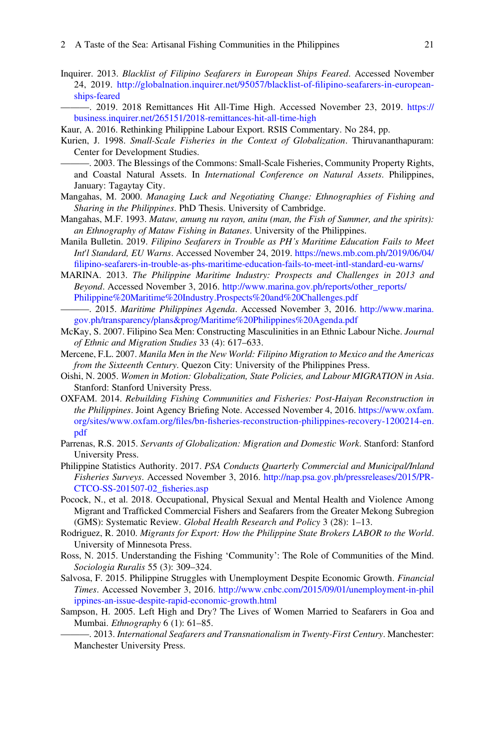- <span id="page-12-20"></span>Inquirer. 2013. Blacklist of Filipino Seafarers in European Ships Feared. Accessed November 24, 2019. [http://globalnation.inquirer.net/95057/blacklist-of-](http://globalnation.inquirer.net/95057/blacklist-of-filipino-seafarers-in-european-ships-feared)filipino-seafarers-in-european[ships-feared](http://globalnation.inquirer.net/95057/blacklist-of-filipino-seafarers-in-european-ships-feared)
	- -. 2019. 2018 Remittances Hit All-Time High. Accessed November 23, 2019. [https://](https://business.inquirer.net/265151/2018-remittances-hit-all-time-high) [business.inquirer.net/265151/2018-remittances-hit-all-time-high](https://business.inquirer.net/265151/2018-remittances-hit-all-time-high)
- <span id="page-12-3"></span><span id="page-12-1"></span>Kaur, A. 2016. Rethinking Philippine Labour Export. RSIS Commentary. No 284, pp.
- <span id="page-12-6"></span><span id="page-12-5"></span>Kurien, J. 1998. Small-Scale Fisheries in the Context of Globalization. Thiruvananthapuram: Center for Development Studies.
	- -. 2003. The Blessings of the Commons: Small-Scale Fisheries, Community Property Rights, and Coastal Natural Assets. In International Conference on Natural Assets. Philippines, January: Tagaytay City.
- <span id="page-12-8"></span>Mangahas, M. 2000. Managing Luck and Negotiating Change: Ethnographies of Fishing and Sharing in the Philippines. PhD Thesis. University of Cambridge.
- <span id="page-12-7"></span>Mangahas, M.F. 1993. Mataw, amung nu rayon, anitu (man, the Fish of Summer, and the spirits): an Ethnography of Mataw Fishing in Batanes. University of the Philippines.
- <span id="page-12-21"></span>Manila Bulletin. 2019. Filipino Seafarers in Trouble as PH's Maritime Education Fails to Meet Int'l Standard, EU Warns. Accessed November 24, 2019. [https://news.mb.com.ph/2019/06/04/](https://news.mb.com.ph/2019/06/04/filipino-seafarers-in-trouble-as-phs-maritime-education-fails-to-meet-intl-standard-eu-warns/) fi[lipino-seafarers-in-trouble-as-phs-maritime-education-fails-to-meet-intl-standard-eu-warns/](https://news.mb.com.ph/2019/06/04/filipino-seafarers-in-trouble-as-phs-maritime-education-fails-to-meet-intl-standard-eu-warns/)
- <span id="page-12-12"></span>MARINA. 2013. The Philippine Maritime Industry: Prospects and Challenges in 2013 and Beyond. Accessed November 3, 2016. [http://www.marina.gov.ph/reports/other\\_reports/](http://www.marina.gov.ph/reports/other_reports/Philippine%20Maritime%20Industry.Prospects%20and%20Challenges.pdf) [Philippine%20Maritime%20Industry.Prospects%20and%20Challenges.pdf](http://www.marina.gov.ph/reports/other_reports/Philippine%20Maritime%20Industry.Prospects%20and%20Challenges.pdf)
- <span id="page-12-0"></span>-. 2015. Maritime Philippines Agenda. Accessed November 3, 2016. [http://www.marina.](http://www.marina.gov.ph/transparency/plans&prog/Maritime%20Philippines%20Agenda.pdf) [gov.ph/transparency/plans&prog/Maritime%20Philippines%20Agenda.pdf](http://www.marina.gov.ph/transparency/plans&prog/Maritime%20Philippines%20Agenda.pdf)
- <span id="page-12-17"></span>McKay, S. 2007. Filipino Sea Men: Constructing Masculinities in an Ethnic Labour Niche. Journal of Ethnic and Migration Studies 33 (4): 617–633.
- <span id="page-12-2"></span>Mercene, F.L. 2007. Manila Men in the New World: Filipino Migration to Mexico and the Americas from the Sixteenth Century. Quezon City: University of the Philippines Press.
- <span id="page-12-13"></span>Oishi, N. 2005. Women in Motion: Globalization, State Policies, and Labour MIGRATION in Asia. Stanford: Stanford University Press.
- <span id="page-12-9"></span>OXFAM. 2014. Rebuilding Fishing Communities and Fisheries: Post-Haiyan Reconstruction in the Philippines. Joint Agency Briefing Note. Accessed November 4, 2016. [https://www.oxfam.](https://www.oxfam.org/sites/www.oxfam.org/files/bn-fisheries-reconstruction-philippines-recovery-1200214-en.pdf) org/sites/www.oxfam.org/files/bn-fi[sheries-reconstruction-philippines-recovery-1200214-en.](https://www.oxfam.org/sites/www.oxfam.org/files/bn-fisheries-reconstruction-philippines-recovery-1200214-en.pdf) [pdf](https://www.oxfam.org/sites/www.oxfam.org/files/bn-fisheries-reconstruction-philippines-recovery-1200214-en.pdf)
- <span id="page-12-14"></span>Parrenas, R.S. 2015. Servants of Globalization: Migration and Domestic Work. Stanford: Stanford University Press.
- <span id="page-12-4"></span>Philippine Statistics Authority. 2017. PSA Conducts Quarterly Commercial and Municipal/Inland Fisheries Surveys. Accessed November 3, 2016. [http://nap.psa.gov.ph/pressreleases/2015/PR-](http://nap.psa.gov.ph/pressreleases/2015/PR-CTCO-SS-201507-02_fisheries.asp)[CTCO-SS-201507-02\\_](http://nap.psa.gov.ph/pressreleases/2015/PR-CTCO-SS-201507-02_fisheries.asp)fisheries.asp
- <span id="page-12-10"></span>Pocock, N., et al. 2018. Occupational, Physical Sexual and Mental Health and Violence Among Migrant and Trafficked Commercial Fishers and Seafarers from the Greater Mekong Subregion (GMS): Systematic Review. Global Health Research and Policy 3 (28): 1–13.
- <span id="page-12-15"></span>Rodriguez, R. 2010. Migrants for Export: How the Philippine State Brokers LABOR to the World. University of Minnesota Press.
- <span id="page-12-11"></span>Ross, N. 2015. Understanding the Fishing 'Community': The Role of Communities of the Mind. Sociologia Ruralis 55 (3): 309–324.
- <span id="page-12-18"></span>Salvosa, F. 2015. Philippine Struggles with Unemployment Despite Economic Growth. Financial Times. Accessed November 3, 2016. [http://www.cnbc.com/2015/09/01/unemployment-in-phil](http://www.cnbc.com/2015/09/01/unemployment-in-philippines-an-issue-despite-rapid-economic-growth.html) [ippines-an-issue-despite-rapid-economic-growth.html](http://www.cnbc.com/2015/09/01/unemployment-in-philippines-an-issue-despite-rapid-economic-growth.html)
- <span id="page-12-19"></span><span id="page-12-16"></span>Sampson, H. 2005. Left High and Dry? The Lives of Women Married to Seafarers in Goa and Mumbai. Ethnography 6 (1): 61–85.
	- ———. 2013. International Seafarers and Transnationalism in Twenty-First Century. Manchester: Manchester University Press.